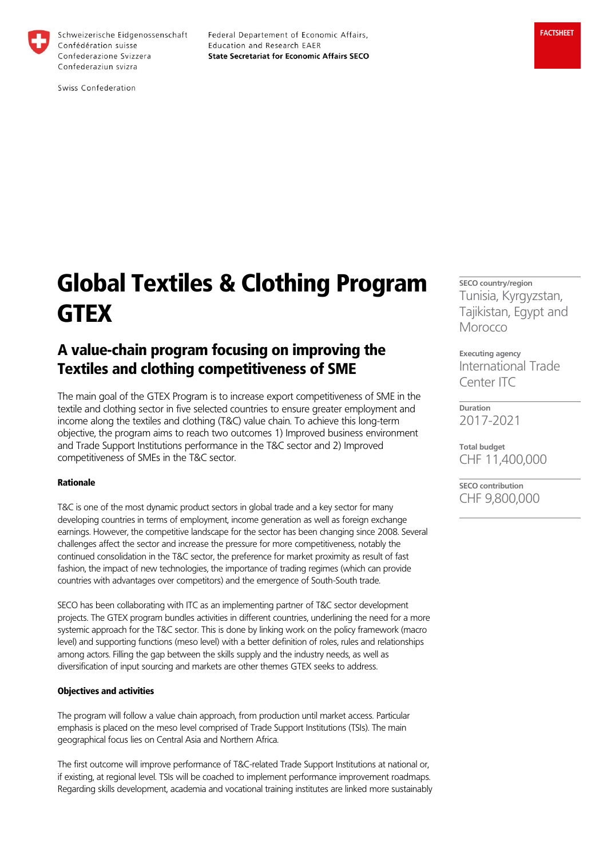

Schweizerische Eidgenossenschaft Confédération suisse Confederazione Svizzera Confederaziun svizra

Federal Departement of Economic Affairs, Education and Research EAER **State Secretariat for Economic Affairs SECO** 

Swiss Confederation

# Global Textiles & Clothing Program **GTEX**

# A value-chain program focusing on improving the Textiles and clothing competitiveness of SME

The main goal of the GTEX Program is to increase export competitiveness of SME in the textile and clothing sector in five selected countries to ensure greater employment and income along the textiles and clothing (T&C) value chain. To achieve this long-term objective, the program aims to reach two outcomes 1) Improved business environment and Trade Support Institutions performance in the T&C sector and 2) Improved competitiveness of SMEs in the T&C sector.

#### Rationale

T&C is one of the most dynamic product sectors in global trade and a key sector for many developing countries in terms of employment, income generation as well as foreign exchange earnings. However, the competitive landscape for the sector has been changing since 2008. Several challenges affect the sector and increase the pressure for more competitiveness, notably the continued consolidation in the T&C sector, the preference for market proximity as result of fast fashion, the impact of new technologies, the importance of trading regimes (which can provide countries with advantages over competitors) and the emergence of South-South trade.

SECO has been collaborating with ITC as an implementing partner of T&C sector development projects. The GTEX program bundles activities in different countries, underlining the need for a more systemic approach for the T&C sector. This is done by linking work on the policy framework (macro level) and supporting functions (meso level) with a better definition of roles, rules and relationships among actors. Filling the gap between the skills supply and the industry needs, as well as diversification of input sourcing and markets are other themes GTEX seeks to address.

#### Objectives and activities

The program will follow a value chain approach, from production until market access. Particular emphasis is placed on the meso level comprised of Trade Support Institutions (TSIs). The main geographical focus lies on Central Asia and Northern Africa.

The first outcome will improve performance of T&C-related Trade Support Institutions at national or, if existing, at regional level. TSIs will be coached to implement performance improvement roadmaps. Regarding skills development, academia and vocational training institutes are linked more sustainably **SECO country/region** Tunisia, Kyrgyzstan, Tajikistan, Egypt and **Morocco** 

**Executing agency** International Trade Center ITC

**Duration** 2017-2021

**Total budget** CHF 11,400,000

**SECO contribution** CHF 9,800,000